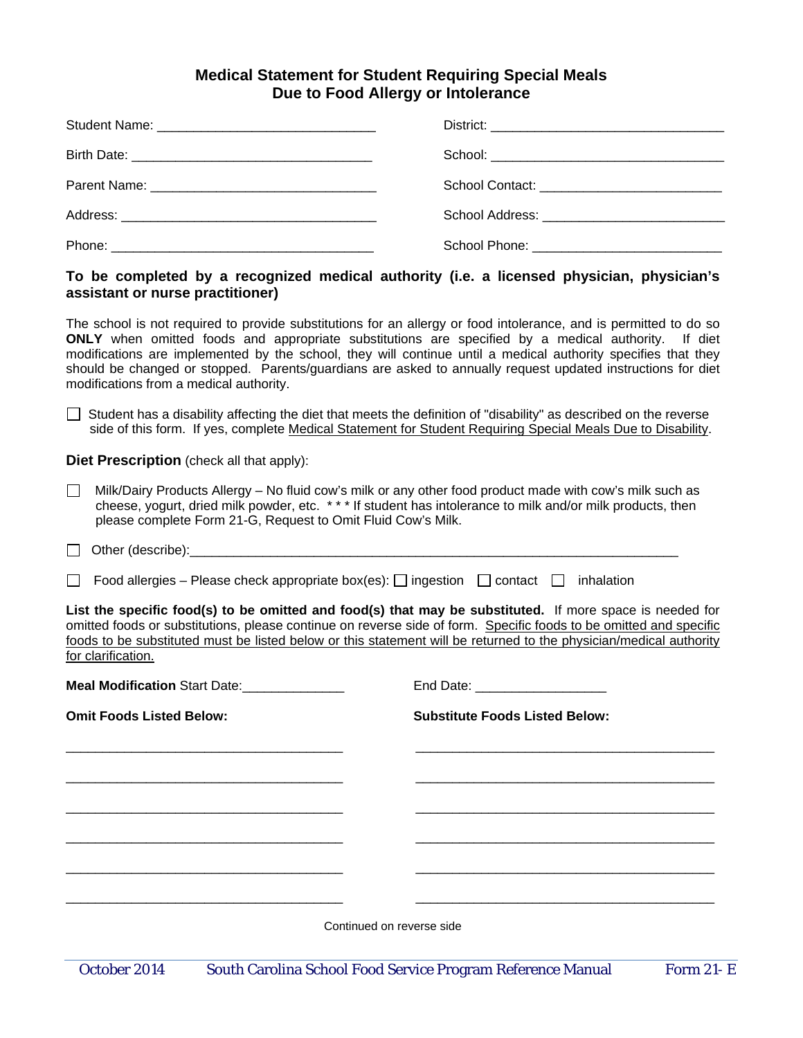## **Medical Statement for Student Requiring Special Meals Due to Food Allergy or Intolerance**

## **To be completed by a recognized medical authority (i.e. a licensed physician, physician's assistant or nurse practitioner)**

The school is not required to provide substitutions for an allergy or food intolerance, and is permitted to do so **ONLY** when omitted foods and appropriate substitutions are specified by a medical authority. If diet modifications are implemented by the school, they will continue until a medical authority specifies that they should be changed or stopped. Parents/guardians are asked to annually request updated instructions for diet modifications from a medical authority.

 $\Box$  Student has a disability affecting the diet that meets the definition of "disability" as described on the reverse side of this form. If yes, complete Medical Statement for Student Requiring Special Meals Due to Disability.

**Diet Prescription** (check all that apply):

 $\Box$  Milk/Dairy Products Allergy – No fluid cow's milk or any other food product made with cow's milk such as cheese, yogurt, dried milk powder, etc. \* \* \* If student has intolerance to milk and/or milk products, then please complete Form 21-G, Request to Omit Fluid Cow's Milk.

 $\Box$  Other (describe):

Food allergies – Please check appropriate box(es):  $\Box$  ingestion  $\Box$  contact  $\Box$  inhalation

**List the specific food(s) to be omitted and food(s) that may be substituted.** If more space is needed for omitted foods or substitutions, please continue on reverse side of form. Specific foods to be omitted and specific foods to be substituted must be listed below or this statement will be returned to the physician/medical authority for clarification.

| Meal Modification Start Date:_______________ | End Date: ____________________        |  |
|----------------------------------------------|---------------------------------------|--|
| <b>Omit Foods Listed Below:</b>              | <b>Substitute Foods Listed Below:</b> |  |
|                                              |                                       |  |
|                                              |                                       |  |
|                                              |                                       |  |
|                                              |                                       |  |
|                                              |                                       |  |
|                                              |                                       |  |
|                                              | Continued on reverse side             |  |